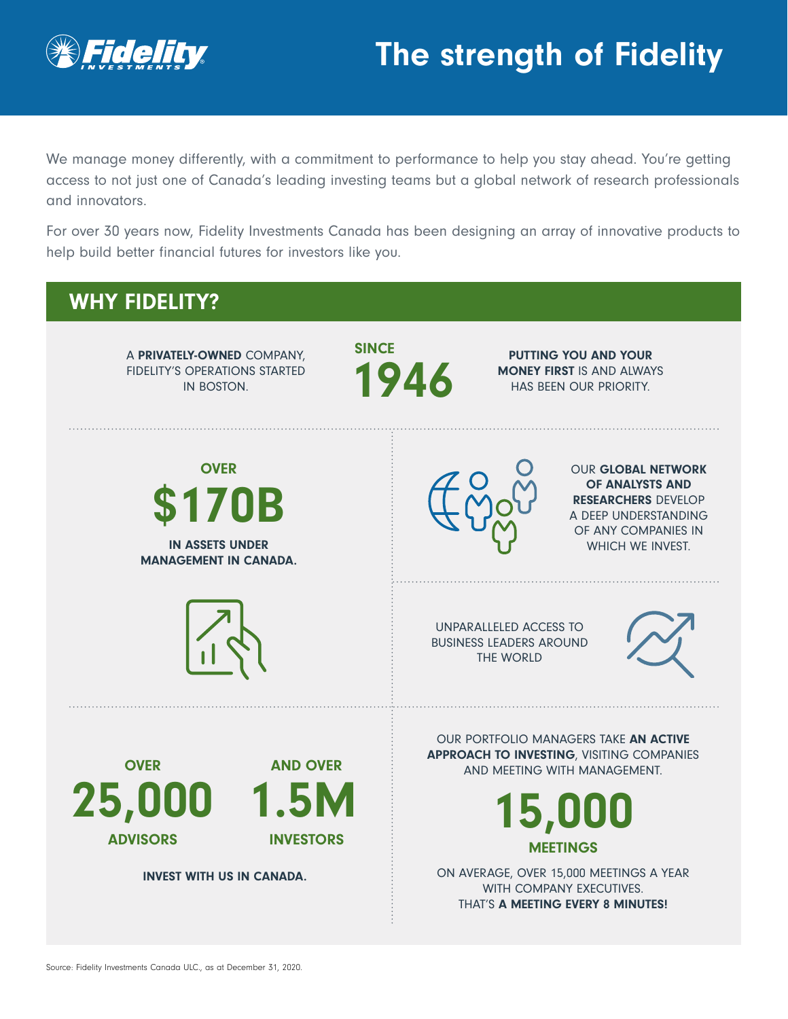

# The strength of Fidelity

We manage money differently, with a commitment to performance to help you stay ahead. You're getting access to not just one of Canada's leading investing teams but a global network of research professionals and innovators.

For over 30 years now, Fidelity Investments Canada has been designing an array of innovative products to help build better financial futures for investors like you.

#### WHY FIDELITY? A PRIVATELY-OWNED COMPANY, FIDELITY'S OPERATIONS STARTED IN BOSTON. **SINCE** 1946 PUTTING YOU AND YOUR MONEY FIRST IS AND ALWAYS HAS BEEN OUR PRIORITY. **OVER** \$170B IN ASSETS UNDER MANAGEMENT IN CANADA. OUR GLOBAL NETWORK OF ANALYSTS AND RESEARCHERS DEVELOP A DEEP UNDERSTANDING OF ANY COMPANIES IN WHICH WE INVEST. UNPARALLELED ACCESS TO BUSINESS LEADERS AROUND THE WORLD **OVER** 25,000 ADVISORS AND OVER 1.5M INVESTORS INVEST WITH US IN CANADA. OUR PORTFOLIO MANAGERS TAKE AN ACTIVE APPROACH TO INVESTING, VISITING COMPANIES AND MEETING WITH MANAGEMENT. 15,000 MEETINGS ON AVERAGE, OVER 15,000 MEETINGS A YEAR WITH COMPANY EXECUTIVES. THAT'S A MEETING EVERY 8 MINUTES!